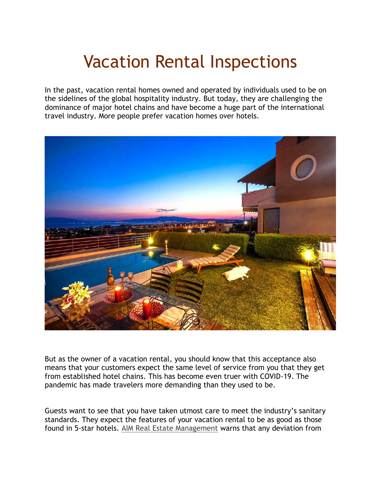# Vacation Rental Inspections

In the past, vacation rental homes owned and operated by individuals used to be on the sidelines of the global hospitality industry. But today, they are challenging the dominance of major hotel chains and have become a huge part of the international travel industry. More people prefer vacation homes over hotels.



But as the owner of a vacation rental, you should know that this acceptance also means that your customers expect the same level of service from you that they get from established hotel chains. This has become even truer with COVID-19. The pandemic has made travelers more demanding than they used to be.

Guests want to see that you have taken utmost care to meet the industry's sanitary standards. They expect the features of your vacation rental to be as good as those found in 5-star hotels. [AIM Real Estate Management](https://www.alwaysaim.com/) warns that any deviation from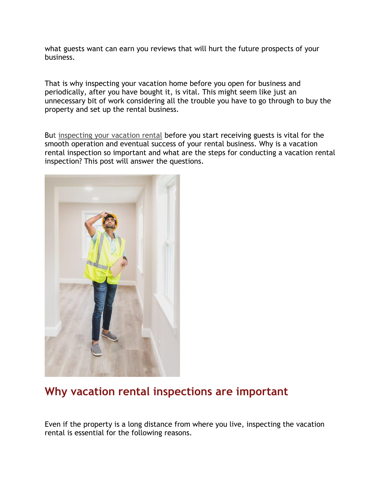what guests want can earn you reviews that will hurt the future prospects of your business.

That is why inspecting your vacation home before you open for business and periodically, after you have bought it, is vital. This might seem like just an unnecessary bit of work considering all the trouble you have to go through to buy the property and set up the rental business.

But [inspecting your vacation rental](https://www.popularmechanics.com/home/interior-projects/how-to/a3431/best-home-inspection-checklist/) before you start receiving guests is vital for the smooth operation and eventual success of your rental business. Why is a vacation rental inspection so important and what are the steps for conducting a vacation rental inspection? This post will answer the questions.



# **Why vacation rental inspections are important**

Even if the property is a long distance from where you live, inspecting the vacation rental is essential for the following reasons.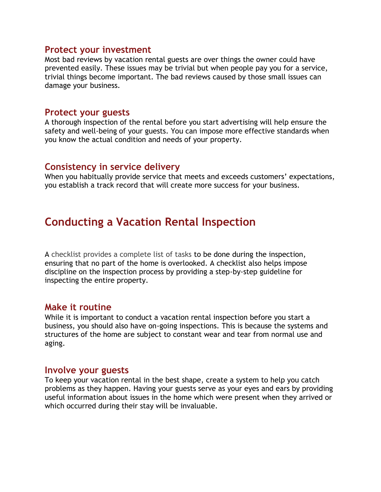#### **Protect your investment**

Most bad reviews by vacation rental guests are over things the owner could have prevented easily. These issues may be trivial but when people pay you for a service, trivial things become important. The bad reviews caused by those small issues can damage your business.

#### **Protect your guests**

A thorough inspection of the rental before you start advertising will help ensure the safety and well-being of your guests. You can impose more effective standards when you know the actual condition and needs of your property.

#### **Consistency in service delivery**

When you habitually provide service that meets and exceeds customers' expectations, you establish a track record that will create more success for your business.

# **Conducting a Vacation Rental Inspection**

A [checklist provides a complete list of tasks](https://www.zillow.com/home-buying-guide/home-inspection-checklist/) to be done during the inspection, ensuring that no part of the home is overlooked. A checklist also helps impose discipline on the inspection process by providing a step-by-step guideline for inspecting the entire property.

#### **Make it routine**

While it is important to conduct a vacation rental inspection before you start a business, you should also have on-going inspections. This is because the systems and structures of the home are subject to constant wear and tear from normal use and aging.

#### **Involve your guests**

To keep your vacation rental in the best shape, create a system to help you catch problems as they happen. Having your guests serve as your eyes and ears by providing useful information about issues in the home which were present when they arrived or which occurred during their stay will be invaluable.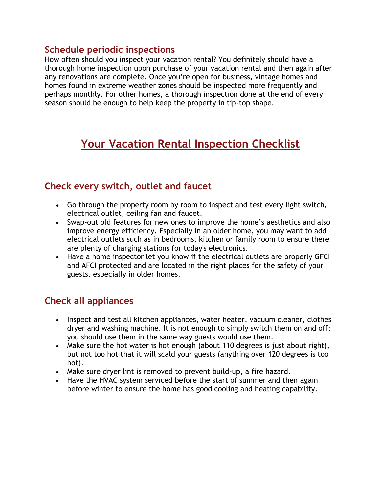#### **Schedule periodic inspections**

How often should you inspect your vacation rental? You definitely should have a thorough home inspection upon purchase of your vacation rental and then again after any renovations are complete. Once you're open for business, vintage homes and homes found in extreme weather zones should be inspected more frequently and perhaps monthly. For other homes, a thorough inspection done at the end of every season should be enough to help keep the property in tip-top shape.

# **Your Vacation Rental Inspection Checklist**

## **Check every switch, outlet and faucet**

- Go through the property room by room to inspect and test every light switch, electrical outlet, ceiling fan and faucet.
- Swap-out old features for new ones to improve the home's aesthetics and also improve energy efficiency. Especially in an older home, you may want to add electrical outlets such as in bedrooms, kitchen or family room to ensure there are plenty of charging stations for today's electronics.
- Have a home inspector let you know if the electrical outlets are properly GFCI and AFCI protected and are located in the right places for the safety of your guests, especially in older homes.

# **Check all appliances**

- Inspect and test all kitchen appliances, water heater, vacuum cleaner, clothes dryer and washing machine. It is not enough to simply switch them on and off; you should use them in the same way guests would use them.
- Make sure the hot water is hot enough (about 110 degrees is just about right), but not too hot that it will scald your guests (anything over 120 degrees is too hot).
- Make sure dryer lint is removed to prevent build-up, a fire hazard.
- Have the HVAC system serviced before the start of summer and then again before winter to ensure the home has good cooling and heating capability.